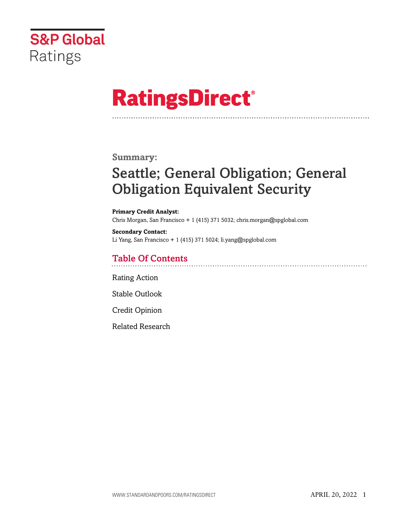

# **RatingsDirect®**

### **Summary:**

# Seattle; General Obligation; General Obligation Equivalent Security

**Primary Credit Analyst:** Chris Morgan, San Francisco + 1 (415) 371 5032; chris.morgan@spglobal.com

**Secondary Contact:** Li Yang, San Francisco + 1 (415) 371 5024; li.yang@spglobal.com

# Table Of Contents

[Rating Action](#page-1-0)

[Stable Outlook](#page-3-0)

[Credit Opinion](#page-3-1)

[Related Research](#page-7-0)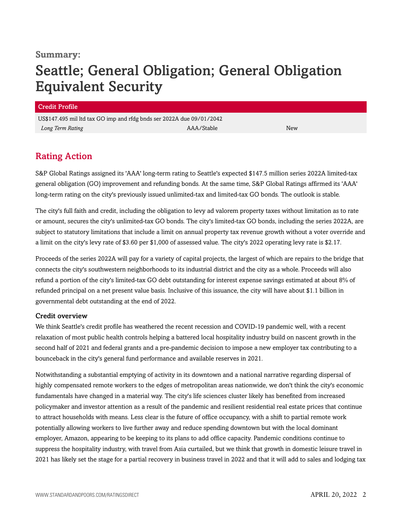### **Summary:**

# Seattle; General Obligation; General Obligation Equivalent Security

#### Credit Profile

US\$147.495 mil ltd tax GO imp and rfdg bnds ser 2022A due 09/01/2042 *Long Term Rating* AAA/Stable New

# <span id="page-1-0"></span>Rating Action

S&P Global Ratings assigned its 'AAA' long-term rating to Seattle's expected \$147.5 million series 2022A limited-tax general obligation (GO) improvement and refunding bonds. At the same time, S&P Global Ratings affirmed its 'AAA' long-term rating on the city's previously issued unlimited-tax and limited-tax GO bonds. The outlook is stable.

The city's full faith and credit, including the obligation to levy ad valorem property taxes without limitation as to rate or amount, secures the city's unlimited-tax GO bonds. The city's limited-tax GO bonds, including the series 2022A, are subject to statutory limitations that include a limit on annual property tax revenue growth without a voter override and a limit on the city's levy rate of \$3.60 per \$1,000 of assessed value. The city's 2022 operating levy rate is \$2.17.

Proceeds of the series 2022A will pay for a variety of capital projects, the largest of which are repairs to the bridge that connects the city's southwestern neighborhoods to its industrial district and the city as a whole. Proceeds will also refund a portion of the city's limited-tax GO debt outstanding for interest expense savings estimated at about 8% of refunded principal on a net present value basis. Inclusive of this issuance, the city will have about \$1.1 billion in governmental debt outstanding at the end of 2022.

#### Credit overview

We think Seattle's credit profile has weathered the recent recession and COVID-19 pandemic well, with a recent relaxation of most public health controls helping a battered local hospitality industry build on nascent growth in the second half of 2021 and federal grants and a pre-pandemic decision to impose a new employer tax contributing to a bounceback in the city's general fund performance and available reserves in 2021.

Notwithstanding a substantial emptying of activity in its downtown and a national narrative regarding dispersal of highly compensated remote workers to the edges of metropolitan areas nationwide, we don't think the city's economic fundamentals have changed in a material way. The city's life sciences cluster likely has benefited from increased policymaker and investor attention as a result of the pandemic and resilient residential real estate prices that continue to attract households with means. Less clear is the future of office occupancy, with a shift to partial remote work potentially allowing workers to live further away and reduce spending downtown but with the local dominant employer, Amazon, appearing to be keeping to its plans to add office capacity. Pandemic conditions continue to suppress the hospitality industry, with travel from Asia curtailed, but we think that growth in domestic leisure travel in 2021 has likely set the stage for a partial recovery in business travel in 2022 and that it will add to sales and lodging tax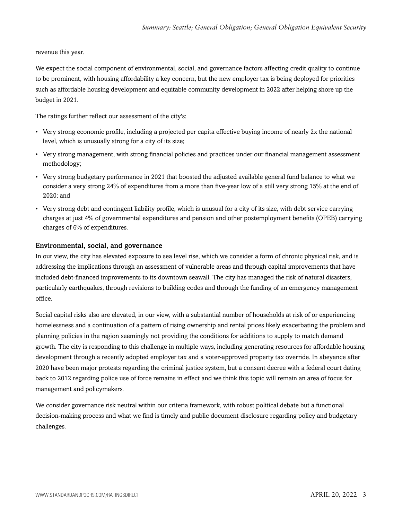#### revenue this year.

We expect the social component of environmental, social, and governance factors affecting credit quality to continue to be prominent, with housing affordability a key concern, but the new employer tax is being deployed for priorities such as affordable housing development and equitable community development in 2022 after helping shore up the budget in 2021.

The ratings further reflect our assessment of the city's:

- Very strong economic profile, including a projected per capita effective buying income of nearly 2x the national level, which is unusually strong for a city of its size;
- Very strong management, with strong financial policies and practices under our financial management assessment methodology;
- Very strong budgetary performance in 2021 that boosted the adjusted available general fund balance to what we consider a very strong 24% of expenditures from a more than five-year low of a still very strong 15% at the end of 2020; and
- Very strong debt and contingent liability profile, which is unusual for a city of its size, with debt service carrying charges at just 4% of governmental expenditures and pension and other postemployment benefits (OPEB) carrying charges of 6% of expenditures.

#### Environmental, social, and governance

In our view, the city has elevated exposure to sea level rise, which we consider a form of chronic physical risk, and is addressing the implications through an assessment of vulnerable areas and through capital improvements that have included debt-financed improvements to its downtown seawall. The city has managed the risk of natural disasters, particularly earthquakes, through revisions to building codes and through the funding of an emergency management office.

Social capital risks also are elevated, in our view, with a substantial number of households at risk of or experiencing homelessness and a continuation of a pattern of rising ownership and rental prices likely exacerbating the problem and planning policies in the region seemingly not providing the conditions for additions to supply to match demand growth. The city is responding to this challenge in multiple ways, including generating resources for affordable housing development through a recently adopted employer tax and a voter-approved property tax override. In abeyance after 2020 have been major protests regarding the criminal justice system, but a consent decree with a federal court dating back to 2012 regarding police use of force remains in effect and we think this topic will remain an area of focus for management and policymakers.

We consider governance risk neutral within our criteria framework, with robust political debate but a functional decision-making process and what we find is timely and public document disclosure regarding policy and budgetary challenges.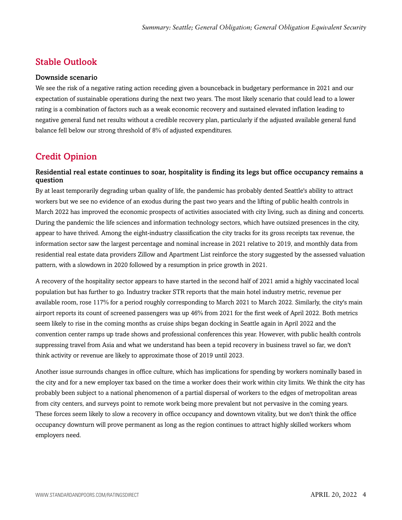# <span id="page-3-0"></span>Stable Outlook

#### Downside scenario

We see the risk of a negative rating action receding given a bounceback in budgetary performance in 2021 and our expectation of sustainable operations during the next two years. The most likely scenario that could lead to a lower rating is a combination of factors such as a weak economic recovery and sustained elevated inflation leading to negative general fund net results without a credible recovery plan, particularly if the adjusted available general fund balance fell below our strong threshold of 8% of adjusted expenditures.

# <span id="page-3-1"></span>Credit Opinion

#### Residential real estate continues to soar, hospitality is finding its legs but office occupancy remains a question

By at least temporarily degrading urban quality of life, the pandemic has probably dented Seattle's ability to attract workers but we see no evidence of an exodus during the past two years and the lifting of public health controls in March 2022 has improved the economic prospects of activities associated with city living, such as dining and concerts. During the pandemic the life sciences and information technology sectors, which have outsized presences in the city, appear to have thrived. Among the eight-industry classification the city tracks for its gross receipts tax revenue, the information sector saw the largest percentage and nominal increase in 2021 relative to 2019, and monthly data from residential real estate data providers Zillow and Apartment List reinforce the story suggested by the assessed valuation pattern, with a slowdown in 2020 followed by a resumption in price growth in 2021.

A recovery of the hospitality sector appears to have started in the second half of 2021 amid a highly vaccinated local population but has further to go. Industry tracker STR reports that the main hotel industry metric, revenue per available room, rose 117% for a period roughly corresponding to March 2021 to March 2022. Similarly, the city's main airport reports its count of screened passengers was up 46% from 2021 for the first week of April 2022. Both metrics seem likely to rise in the coming months as cruise ships began docking in Seattle again in April 2022 and the convention center ramps up trade shows and professional conferences this year. However, with public health controls suppressing travel from Asia and what we understand has been a tepid recovery in business travel so far, we don't think activity or revenue are likely to approximate those of 2019 until 2023.

Another issue surrounds changes in office culture, which has implications for spending by workers nominally based in the city and for a new employer tax based on the time a worker does their work within city limits. We think the city has probably been subject to a national phenomenon of a partial dispersal of workers to the edges of metropolitan areas from city centers, and surveys point to remote work being more prevalent but not pervasive in the coming years. These forces seem likely to slow a recovery in office occupancy and downtown vitality, but we don't think the office occupancy downturn will prove permanent as long as the region continues to attract highly skilled workers whom employers need.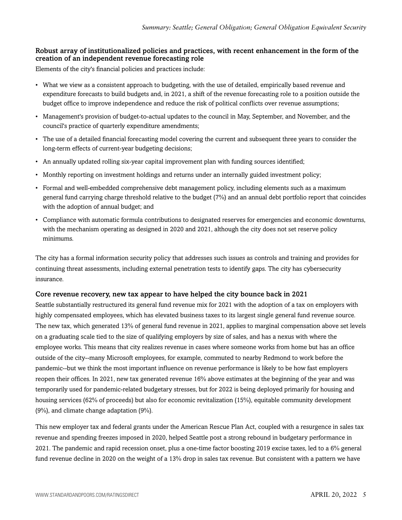#### Robust array of institutionalized policies and practices, with recent enhancement in the form of the creation of an independent revenue forecasting role

Elements of the city's financial policies and practices include:

- What we view as a consistent approach to budgeting, with the use of detailed, empirically based revenue and expenditure forecasts to build budgets and, in 2021, a shift of the revenue forecasting role to a position outside the budget office to improve independence and reduce the risk of political conflicts over revenue assumptions;
- Management's provision of budget-to-actual updates to the council in May, September, and November, and the council's practice of quarterly expenditure amendments;
- The use of a detailed financial forecasting model covering the current and subsequent three years to consider the long-term effects of current-year budgeting decisions;
- An annually updated rolling six-year capital improvement plan with funding sources identified;
- Monthly reporting on investment holdings and returns under an internally guided investment policy;
- Formal and well-embedded comprehensive debt management policy, including elements such as a maximum general fund carrying charge threshold relative to the budget (7%) and an annual debt portfolio report that coincides with the adoption of annual budget; and
- Compliance with automatic formula contributions to designated reserves for emergencies and economic downturns, with the mechanism operating as designed in 2020 and 2021, although the city does not set reserve policy minimums.

The city has a formal information security policy that addresses such issues as controls and training and provides for continuing threat assessments, including external penetration tests to identify gaps. The city has cybersecurity insurance.

#### Core revenue recovery, new tax appear to have helped the city bounce back in 2021

Seattle substantially restructured its general fund revenue mix for 2021 with the adoption of a tax on employers with highly compensated employees, which has elevated business taxes to its largest single general fund revenue source. The new tax, which generated 13% of general fund revenue in 2021, applies to marginal compensation above set levels on a graduating scale tied to the size of qualifying employers by size of sales, and has a nexus with where the employee works. This means that city realizes revenue in cases where someone works from home but has an office outside of the city--many Microsoft employees, for example, commuted to nearby Redmond to work before the pandemic--but we think the most important influence on revenue performance is likely to be how fast employers reopen their offices. In 2021, new tax generated revenue 16% above estimates at the beginning of the year and was temporarily used for pandemic-related budgetary stresses, but for 2022 is being deployed primarily for housing and housing services (62% of proceeds) but also for economic revitalization (15%), equitable community development (9%), and climate change adaptation (9%).

This new employer tax and federal grants under the American Rescue Plan Act, coupled with a resurgence in sales tax revenue and spending freezes imposed in 2020, helped Seattle post a strong rebound in budgetary performance in 2021. The pandemic and rapid recession onset, plus a one-time factor boosting 2019 excise taxes, led to a 6% general fund revenue decline in 2020 on the weight of a 13% drop in sales tax revenue. But consistent with a pattern we have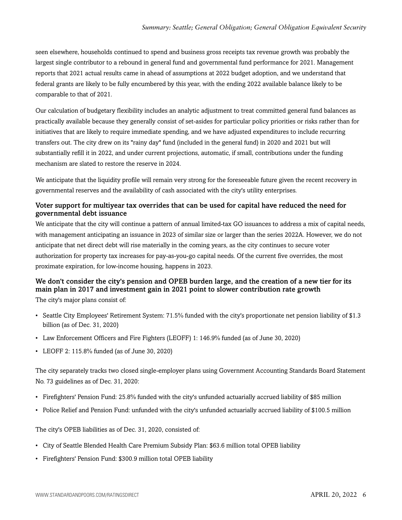seen elsewhere, households continued to spend and business gross receipts tax revenue growth was probably the largest single contributor to a rebound in general fund and governmental fund performance for 2021. Management reports that 2021 actual results came in ahead of assumptions at 2022 budget adoption, and we understand that federal grants are likely to be fully encumbered by this year, with the ending 2022 available balance likely to be comparable to that of 2021.

Our calculation of budgetary flexibility includes an analytic adjustment to treat committed general fund balances as practically available because they generally consist of set-asides for particular policy priorities or risks rather than for initiatives that are likely to require immediate spending, and we have adjusted expenditures to include recurring transfers out. The city drew on its "rainy day" fund (included in the general fund) in 2020 and 2021 but will substantially refill it in 2022, and under current projections, automatic, if small, contributions under the funding mechanism are slated to restore the reserve in 2024.

We anticipate that the liquidity profile will remain very strong for the foreseeable future given the recent recovery in governmental reserves and the availability of cash associated with the city's utility enterprises.

#### Voter support for multiyear tax overrides that can be used for capital have reduced the need for governmental debt issuance

We anticipate that the city will continue a pattern of annual limited-tax GO issuances to address a mix of capital needs, with management anticipating an issuance in 2023 of similar size or larger than the series 2022A. However, we do not anticipate that net direct debt will rise materially in the coming years, as the city continues to secure voter authorization for property tax increases for pay-as-you-go capital needs. Of the current five overrides, the most proximate expiration, for low-income housing, happens in 2023.

#### We don't consider the city's pension and OPEB burden large, and the creation of a new tier for its main plan in 2017 and investment gain in 2021 point to slower contribution rate growth

The city's major plans consist of:

- Seattle City Employees' Retirement System: 71.5% funded with the city's proportionate net pension liability of \$1.3 billion (as of Dec. 31, 2020)
- Law Enforcement Officers and Fire Fighters (LEOFF) 1: 146.9% funded (as of June 30, 2020)
- LEOFF 2: 115.8% funded (as of June 30, 2020)

The city separately tracks two closed single-employer plans using Government Accounting Standards Board Statement No. 73 guidelines as of Dec. 31, 2020:

- Firefighters' Pension Fund: 25.8% funded with the city's unfunded actuarially accrued liability of \$85 million
- Police Relief and Pension Fund: unfunded with the city's unfunded actuarially accrued liability of \$100.5 million

The city's OPEB liabilities as of Dec. 31, 2020, consisted of:

- City of Seattle Blended Health Care Premium Subsidy Plan: \$63.6 million total OPEB liability
- Firefighters' Pension Fund: \$300.9 million total OPEB liability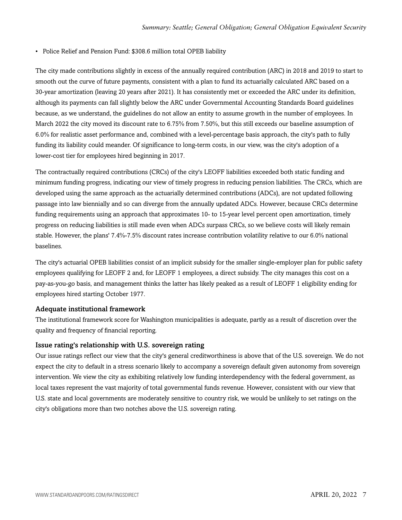#### • Police Relief and Pension Fund: \$308.6 million total OPEB liability

The city made contributions slightly in excess of the annually required contribution (ARC) in 2018 and 2019 to start to smooth out the curve of future payments, consistent with a plan to fund its actuarially calculated ARC based on a 30-year amortization (leaving 20 years after 2021). It has consistently met or exceeded the ARC under its definition, although its payments can fall slightly below the ARC under Governmental Accounting Standards Board guidelines because, as we understand, the guidelines do not allow an entity to assume growth in the number of employees. In March 2022 the city moved its discount rate to 6.75% from 7.50%, but this still exceeds our baseline assumption of 6.0% for realistic asset performance and, combined with a level-percentage basis approach, the city's path to fully funding its liability could meander. Of significance to long-term costs, in our view, was the city's adoption of a lower-cost tier for employees hired beginning in 2017.

The contractually required contributions (CRCs) of the city's LEOFF liabilities exceeded both static funding and minimum funding progress, indicating our view of timely progress in reducing pension liabilities. The CRCs, which are developed using the same approach as the actuarially determined contributions (ADCs), are not updated following passage into law biennially and so can diverge from the annually updated ADCs. However, because CRCs determine funding requirements using an approach that approximates 10- to 15-year level percent open amortization, timely progress on reducing liabilities is still made even when ADCs surpass CRCs, so we believe costs will likely remain stable. However, the plans' 7.4%-7.5% discount rates increase contribution volatility relative to our 6.0% national baselines.

The city's actuarial OPEB liabilities consist of an implicit subsidy for the smaller single-employer plan for public safety employees qualifying for LEOFF 2 and, for LEOFF 1 employees, a direct subsidy. The city manages this cost on a pay-as-you-go basis, and management thinks the latter has likely peaked as a result of LEOFF 1 eligibility ending for employees hired starting October 1977.

#### Adequate institutional framework

The institutional framework score for Washington municipalities is adequate, partly as a result of discretion over the quality and frequency of financial reporting.

#### Issue rating's relationship with U.S. sovereign rating

Our issue ratings reflect our view that the city's general creditworthiness is above that of the U.S. sovereign. We do not expect the city to default in a stress scenario likely to accompany a sovereign default given autonomy from sovereign intervention. We view the city as exhibiting relatively low funding interdependency with the federal government, as local taxes represent the vast majority of total governmental funds revenue. However, consistent with our view that U.S. state and local governments are moderately sensitive to country risk, we would be unlikely to set ratings on the city's obligations more than two notches above the U.S. sovereign rating.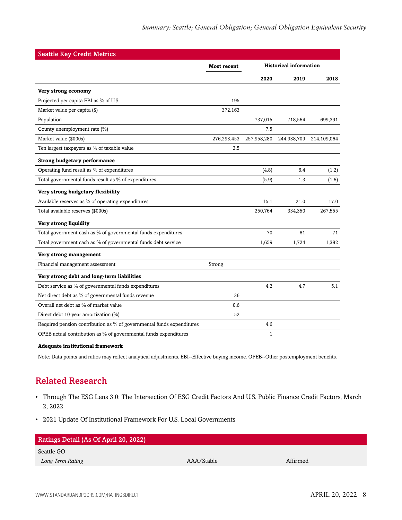| <b>Seattle Key Credit Metrics</b>                                     |                    |                               |             |             |
|-----------------------------------------------------------------------|--------------------|-------------------------------|-------------|-------------|
|                                                                       | <b>Most recent</b> | <b>Historical information</b> |             |             |
|                                                                       |                    | 2020                          | 2019        | 2018        |
| Very strong economy                                                   |                    |                               |             |             |
| Projected per capita EBI as % of U.S.                                 | 195                |                               |             |             |
| Market value per capita (\$)                                          | 372,163            |                               |             |             |
| Population                                                            |                    | 737,015                       | 718,564     | 699,391     |
| County unemployment rate (%)                                          |                    | 7.5                           |             |             |
| Market value (\$000s)                                                 | 276,293,453        | 257,958,280                   | 244,938,709 | 214,109,064 |
| Ten largest taxpayers as % of taxable value                           | 3.5                |                               |             |             |
| <b>Strong budgetary performance</b>                                   |                    |                               |             |             |
| Operating fund result as % of expenditures                            |                    | (4.8)                         | 6.4         | (1.2)       |
| Total governmental funds result as % of expenditures                  |                    | (5.9)                         | 1.3         | (1.6)       |
| Very strong budgetary flexibility                                     |                    |                               |             |             |
| Available reserves as % of operating expenditures                     |                    | 15.1                          | 21.0        | 17.0        |
| Total available reserves (\$000s)                                     |                    | 250,764                       | 334,350     | 267,555     |
| Very strong liquidity                                                 |                    |                               |             |             |
| Total government cash as % of governmental funds expenditures         |                    | 70                            | 81          | 71          |
| Total government cash as % of governmental funds debt service         |                    | 1,659                         | 1,724       | 1,382       |
| Very strong management                                                |                    |                               |             |             |
| Financial management assessment                                       | Strong             |                               |             |             |
| Very strong debt and long-term liabilities                            |                    |                               |             |             |
| Debt service as % of governmental funds expenditures                  |                    | 4.2                           | 4.7         | 5.1         |
| Net direct debt as % of governmental funds revenue                    | 36                 |                               |             |             |
| Overall net debt as % of market value                                 | 0.6                |                               |             |             |
| Direct debt 10-year amortization (%)                                  | 52                 |                               |             |             |
| Required pension contribution as % of governmental funds expenditures |                    | 4.6                           |             |             |
| OPEB actual contribution as % of governmental funds expenditures      |                    | $\mathbf{1}$                  |             |             |
| <b>Adequate institutional framework</b>                               |                    |                               |             |             |

<span id="page-7-0"></span>Note: Data points and ratios may reflect analytical adjustments. EBI--Effective buying income. OPEB--Other postemployment benefits.

# Related Research

- Through The ESG Lens 3.0: The Intersection Of ESG Credit Factors And U.S. Public Finance Credit Factors, March 2, 2022
- 2021 Update Of Institutional Framework For U.S. Local Governments

| Ratings Detail (As Of April 20, 2022) |            |          |  |  |  |
|---------------------------------------|------------|----------|--|--|--|
| Seattle GO                            |            |          |  |  |  |
| Long Term Rating                      | AAA/Stable | Affirmed |  |  |  |
|                                       |            |          |  |  |  |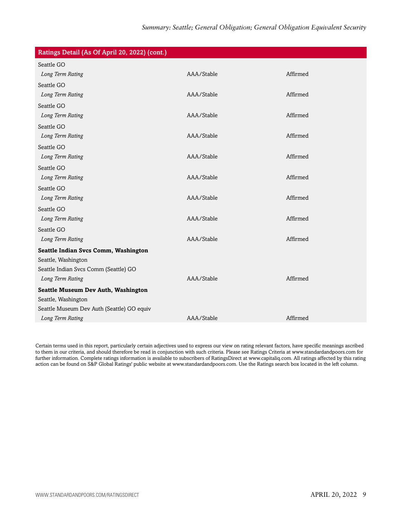| Ratings Detail (As Of April 20, 2022) (cont.)                     |            |          |
|-------------------------------------------------------------------|------------|----------|
| Seattle GO                                                        |            |          |
| Long Term Rating                                                  | AAA/Stable | Affirmed |
| Seattle GO                                                        |            |          |
| Long Term Rating                                                  | AAA/Stable | Affirmed |
| Seattle GO                                                        |            |          |
| Long Term Rating                                                  | AAA/Stable | Affirmed |
| Seattle GO                                                        |            |          |
| Long Term Rating                                                  | AAA/Stable | Affirmed |
| Seattle GO                                                        |            |          |
| Long Term Rating                                                  | AAA/Stable | Affirmed |
| Seattle GO                                                        |            |          |
| Long Term Rating                                                  | AAA/Stable | Affirmed |
| Seattle GO                                                        |            |          |
| Long Term Rating                                                  | AAA/Stable | Affirmed |
| Seattle GO                                                        |            |          |
| Long Term Rating                                                  | AAA/Stable | Affirmed |
| Seattle GO                                                        |            |          |
| Long Term Rating                                                  | AAA/Stable | Affirmed |
| Seattle Indian Svcs Comm, Washington                              |            |          |
| Seattle, Washington                                               |            |          |
| Seattle Indian Svcs Comm (Seattle) GO<br>Long Term Rating         | AAA/Stable | Affirmed |
|                                                                   |            |          |
| <b>Seattle Museum Dev Auth, Washington</b><br>Seattle, Washington |            |          |
| Seattle Museum Dev Auth (Seattle) GO equiv                        |            |          |
| Long Term Rating                                                  | AAA/Stable | Affirmed |
|                                                                   |            |          |

Certain terms used in this report, particularly certain adjectives used to express our view on rating relevant factors, have specific meanings ascribed to them in our criteria, and should therefore be read in conjunction with such criteria. Please see Ratings Criteria at www.standardandpoors.com for further information. Complete ratings information is available to subscribers of RatingsDirect at www.capitaliq.com. All ratings affected by this rating action can be found on S&P Global Ratings' public website at www.standardandpoors.com. Use the Ratings search box located in the left column.